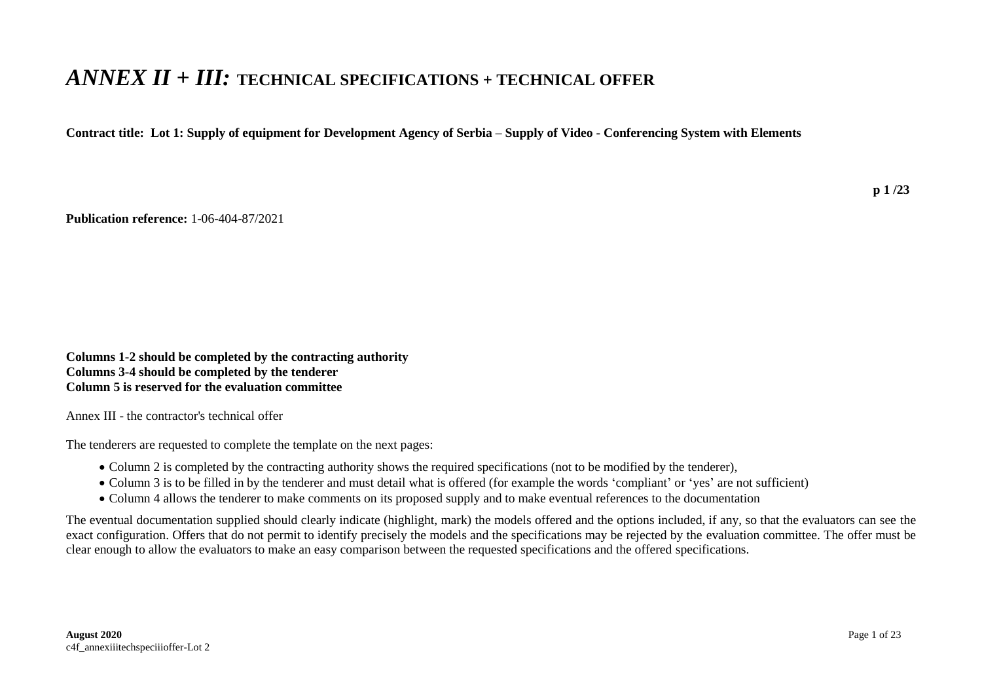## *ANNEX II + III:* **TECHNICAL SPECIFICATIONS + TECHNICAL OFFER**

**Contract title: Lot 1: Supply of equipment for Development Agency of Serbia – Supply of Video - Conferencing System with Elements**

**Publication reference:** 1-06-404-87/2021

**Columns 1-2 should be completed by the contracting authority Columns 3-4 should be completed by the tenderer Column 5 is reserved for the evaluation committee** 

Annex III - the contractor's technical offer

The tenderers are requested to complete the template on the next pages:

- Column 2 is completed by the contracting authority shows the required specifications (not to be modified by the tenderer),
- Column 3 is to be filled in by the tenderer and must detail what is offered (for example the words 'compliant' or 'yes' are not sufficient)
- Column 4 allows the tenderer to make comments on its proposed supply and to make eventual references to the documentation

The eventual documentation supplied should clearly indicate (highlight, mark) the models offered and the options included, if any, so that the evaluators can see the exact configuration. Offers that do not permit to identify precisely the models and the specifications may be rejected by the evaluation committee. The offer must be clear enough to allow the evaluators to make an easy comparison between the requested specifications and the offered specifications.

**p 1 /23**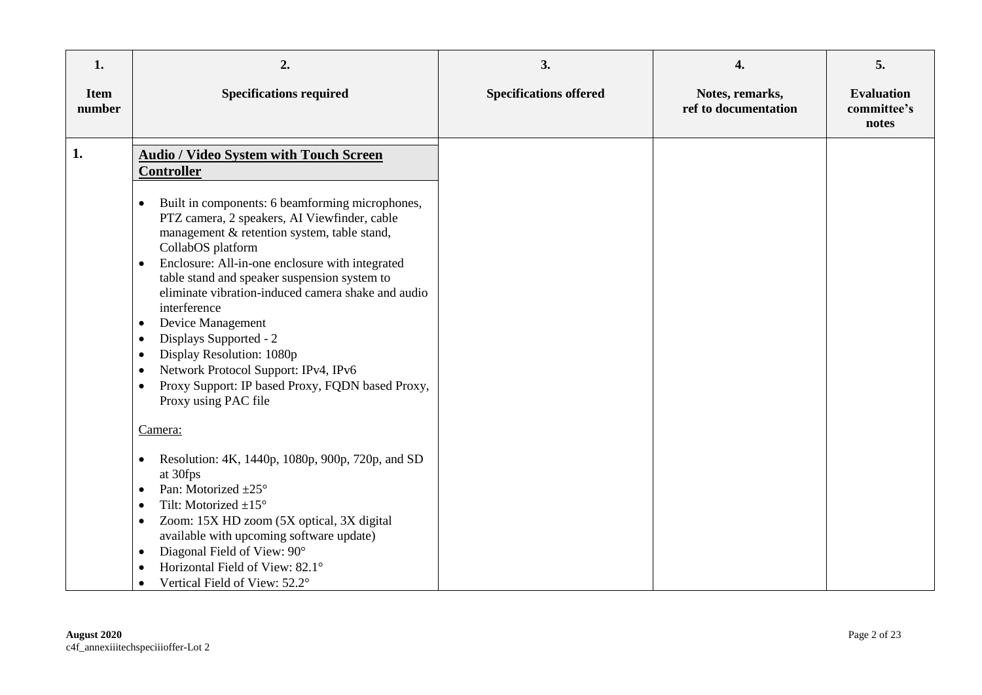| 1.                    | 2.                                                                                                                                                                                                                                                                                                                                                                                                                                                                                                                                                                                                                                                                                                                                                                                                                                                                                                 | 3.                            | 4.                                      | 5.                                        |
|-----------------------|----------------------------------------------------------------------------------------------------------------------------------------------------------------------------------------------------------------------------------------------------------------------------------------------------------------------------------------------------------------------------------------------------------------------------------------------------------------------------------------------------------------------------------------------------------------------------------------------------------------------------------------------------------------------------------------------------------------------------------------------------------------------------------------------------------------------------------------------------------------------------------------------------|-------------------------------|-----------------------------------------|-------------------------------------------|
| <b>Item</b><br>number | <b>Specifications required</b>                                                                                                                                                                                                                                                                                                                                                                                                                                                                                                                                                                                                                                                                                                                                                                                                                                                                     | <b>Specifications offered</b> | Notes, remarks,<br>ref to documentation | <b>Evaluation</b><br>committee's<br>notes |
| 1.                    | <b>Audio / Video System with Touch Screen</b><br><b>Controller</b><br>Built in components: 6 beamforming microphones,<br>$\bullet$<br>PTZ camera, 2 speakers, AI Viewfinder, cable<br>management & retention system, table stand,<br>CollabOS platform<br>Enclosure: All-in-one enclosure with integrated<br>$\bullet$<br>table stand and speaker suspension system to<br>eliminate vibration-induced camera shake and audio<br>interference<br>Device Management<br>$\bullet$<br>Displays Supported - 2<br>$\bullet$<br>Display Resolution: 1080p<br>$\bullet$<br>Network Protocol Support: IPv4, IPv6<br>$\bullet$<br>Proxy Support: IP based Proxy, FQDN based Proxy,<br>$\bullet$<br>Proxy using PAC file<br>Camera:<br>Resolution: 4K, 1440p, 1080p, 900p, 720p, and SD<br>$\bullet$<br>at 30fps<br>Pan: Motorized $\pm 25^\circ$<br>$\bullet$<br>Tilt: Motorized $\pm 15^\circ$<br>$\bullet$ |                               |                                         |                                           |
|                       | Zoom: 15X HD zoom (5X optical, 3X digital<br>$\bullet$<br>available with upcoming software update)<br>Diagonal Field of View: 90°<br>$\bullet$<br>Horizontal Field of View: 82.1°<br>$\bullet$<br>Vertical Field of View: 52.2°<br>$\bullet$                                                                                                                                                                                                                                                                                                                                                                                                                                                                                                                                                                                                                                                       |                               |                                         |                                           |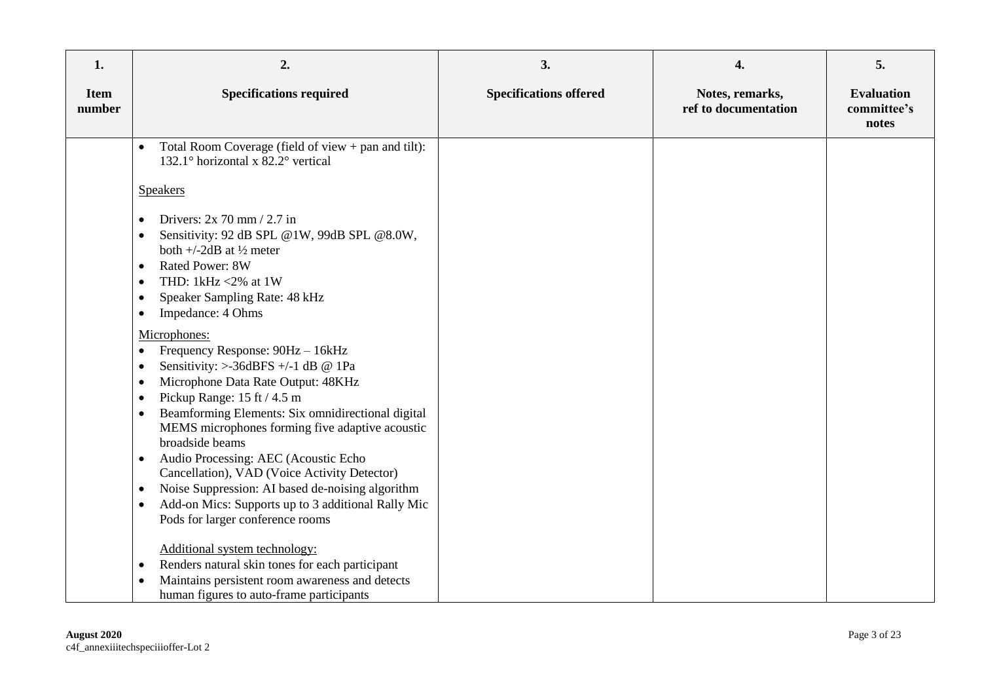| 1.                    | 2.                                                                                                                                                                                                                                                                                                                                                                                                                                                                                                                                                                                                                                                             | 3.                            | 4.                                      | 5.                                        |
|-----------------------|----------------------------------------------------------------------------------------------------------------------------------------------------------------------------------------------------------------------------------------------------------------------------------------------------------------------------------------------------------------------------------------------------------------------------------------------------------------------------------------------------------------------------------------------------------------------------------------------------------------------------------------------------------------|-------------------------------|-----------------------------------------|-------------------------------------------|
| <b>Item</b><br>number | <b>Specifications required</b>                                                                                                                                                                                                                                                                                                                                                                                                                                                                                                                                                                                                                                 | <b>Specifications offered</b> | Notes, remarks,<br>ref to documentation | <b>Evaluation</b><br>committee's<br>notes |
|                       | Total Room Coverage (field of view $+$ pan and tilt):<br>132.1° horizontal x 82.2° vertical<br><b>Speakers</b><br>Drivers: $2x$ 70 mm / 2.7 in<br>Sensitivity: 92 dB SPL @1W, 99dB SPL @8.0W,<br>both $+/-2$ dB at $\frac{1}{2}$ meter<br><b>Rated Power: 8W</b><br>$\bullet$<br>THD: 1kHz <2% at 1W<br>Speaker Sampling Rate: 48 kHz<br>٠<br>Impedance: 4 Ohms<br>٠<br>Microphones:<br>Frequency Response: 90Hz - 16kHz<br>Sensitivity: $>$ -36dBFS +/-1 dB @ 1Pa                                                                                                                                                                                             |                               |                                         |                                           |
|                       | Microphone Data Rate Output: 48KHz<br>Pickup Range: 15 ft / 4.5 m<br>Beamforming Elements: Six omnidirectional digital<br>MEMS microphones forming five adaptive acoustic<br>broadside beams<br>Audio Processing: AEC (Acoustic Echo<br>٠<br>Cancellation), VAD (Voice Activity Detector)<br>Noise Suppression: AI based de-noising algorithm<br>٠<br>Add-on Mics: Supports up to 3 additional Rally Mic<br>$\bullet$<br>Pods for larger conference rooms<br>Additional system technology:<br>Renders natural skin tones for each participant<br>٠<br>Maintains persistent room awareness and detects<br>$\bullet$<br>human figures to auto-frame participants |                               |                                         |                                           |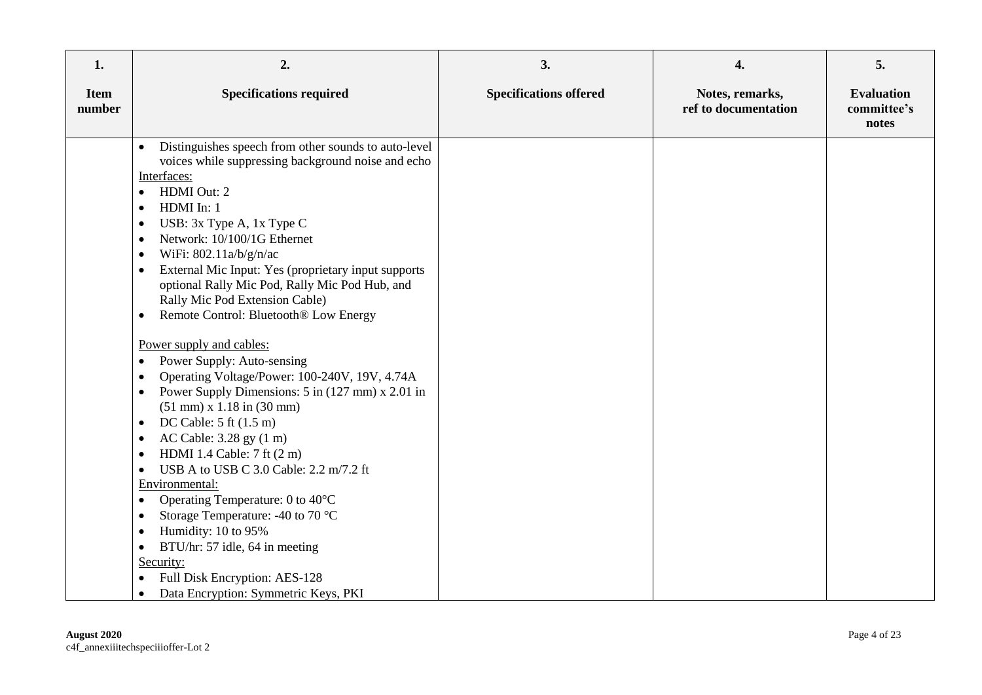| 1.                    | 2.                                                                                                                                                                                                                                                                                                                                                                                                                                                                                                                                                                                                                                                                                                                                                                                                                                                                                                                                                                                                                                                                                                                                            | 3.                            | 4.                                      | 5.                                        |
|-----------------------|-----------------------------------------------------------------------------------------------------------------------------------------------------------------------------------------------------------------------------------------------------------------------------------------------------------------------------------------------------------------------------------------------------------------------------------------------------------------------------------------------------------------------------------------------------------------------------------------------------------------------------------------------------------------------------------------------------------------------------------------------------------------------------------------------------------------------------------------------------------------------------------------------------------------------------------------------------------------------------------------------------------------------------------------------------------------------------------------------------------------------------------------------|-------------------------------|-----------------------------------------|-------------------------------------------|
| <b>Item</b><br>number | <b>Specifications required</b>                                                                                                                                                                                                                                                                                                                                                                                                                                                                                                                                                                                                                                                                                                                                                                                                                                                                                                                                                                                                                                                                                                                | <b>Specifications offered</b> | Notes, remarks,<br>ref to documentation | <b>Evaluation</b><br>committee's<br>notes |
|                       | Distinguishes speech from other sounds to auto-level<br>voices while suppressing background noise and echo<br>Interfaces:<br>HDMI Out: 2<br>$\bullet$<br>HDMI In: 1<br>٠<br>USB: 3x Type A, 1x Type C<br>٠<br>Network: 10/100/1G Ethernet<br>$\bullet$<br>WiFi: 802.11a/b/g/n/ac<br>٠<br>External Mic Input: Yes (proprietary input supports<br>٠<br>optional Rally Mic Pod, Rally Mic Pod Hub, and<br>Rally Mic Pod Extension Cable)<br>Remote Control: Bluetooth® Low Energy<br>٠<br>Power supply and cables:<br>Power Supply: Auto-sensing<br>٠<br>Operating Voltage/Power: 100-240V, 19V, 4.74A<br>٠<br>Power Supply Dimensions: 5 in (127 mm) x 2.01 in<br>$\bullet$<br>$(51$ mm) x $1.18$ in $(30$ mm)<br>DC Cable: $5$ ft $(1.5 \text{ m})$<br>٠<br>AC Cable: 3.28 gy (1 m)<br>٠<br>HDMI 1.4 Cable: 7 ft (2 m)<br>USB A to USB C 3.0 Cable: 2.2 m/7.2 ft<br>Environmental:<br>Operating Temperature: 0 to 40°C<br>$\bullet$<br>Storage Temperature: -40 to 70 °C<br>Humidity: 10 to 95%<br>٠<br>BTU/hr: 57 idle, 64 in meeting<br>$\bullet$<br>Security:<br>Full Disk Encryption: AES-128<br>Data Encryption: Symmetric Keys, PKI<br>٠ |                               |                                         |                                           |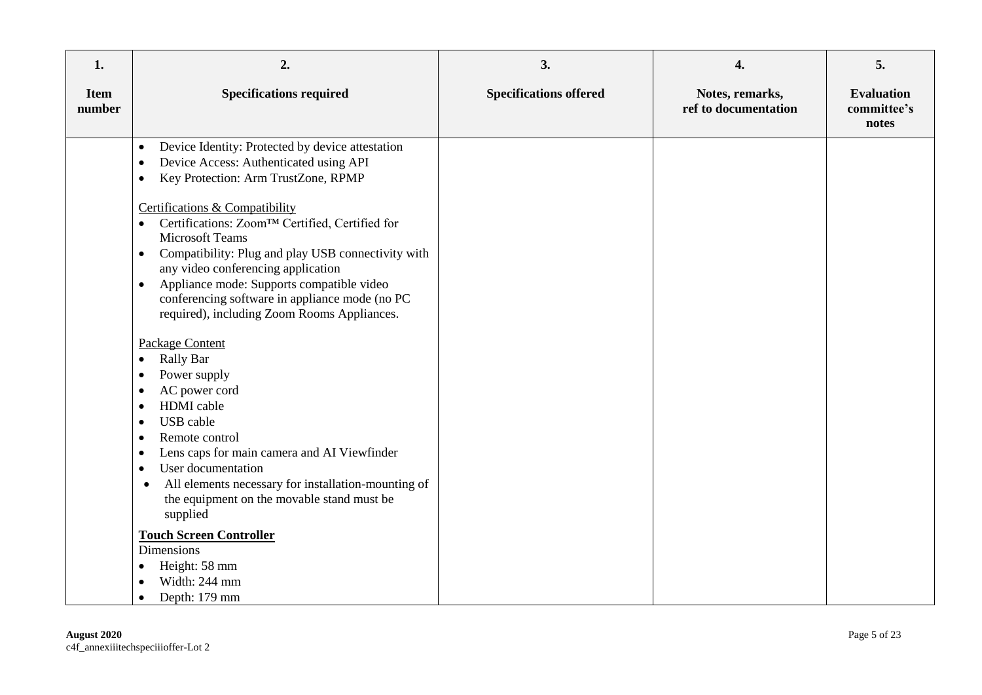| 1.                    | 2.                                                                                                                                                                                                                                                                                                                                                                                                                                                                                                                                                                                                                                                                                                                                                                                                                                                                                                                                                                                     | 3.                            | 4.                                      | 5.                                        |
|-----------------------|----------------------------------------------------------------------------------------------------------------------------------------------------------------------------------------------------------------------------------------------------------------------------------------------------------------------------------------------------------------------------------------------------------------------------------------------------------------------------------------------------------------------------------------------------------------------------------------------------------------------------------------------------------------------------------------------------------------------------------------------------------------------------------------------------------------------------------------------------------------------------------------------------------------------------------------------------------------------------------------|-------------------------------|-----------------------------------------|-------------------------------------------|
| <b>Item</b><br>number | <b>Specifications required</b>                                                                                                                                                                                                                                                                                                                                                                                                                                                                                                                                                                                                                                                                                                                                                                                                                                                                                                                                                         | <b>Specifications offered</b> | Notes, remarks,<br>ref to documentation | <b>Evaluation</b><br>committee's<br>notes |
|                       | Device Identity: Protected by device attestation<br>$\bullet$<br>Device Access: Authenticated using API<br>$\bullet$<br>Key Protection: Arm TrustZone, RPMP<br>$\bullet$<br>Certifications & Compatibility<br>Certifications: Zoom™ Certified, Certified for<br>$\bullet$<br><b>Microsoft Teams</b><br>Compatibility: Plug and play USB connectivity with<br>$\bullet$<br>any video conferencing application<br>Appliance mode: Supports compatible video<br>$\bullet$<br>conferencing software in appliance mode (no PC<br>required), including Zoom Rooms Appliances.<br><b>Package Content</b><br>Rally Bar<br>٠<br>Power supply<br>٠<br>AC power cord<br>٠<br>HDMI cable<br>$\bullet$<br><b>USB</b> cable<br>$\bullet$<br>Remote control<br>$\bullet$<br>Lens caps for main camera and AI Viewfinder<br>$\bullet$<br>User documentation<br>$\bullet$<br>All elements necessary for installation-mounting of<br>$\bullet$<br>the equipment on the movable stand must be<br>supplied |                               |                                         |                                           |
|                       | <b>Touch Screen Controller</b><br><b>Dimensions</b><br>Height: 58 mm<br>$\bullet$<br>Width: 244 mm<br>Depth: 179 mm<br>$\bullet$                                                                                                                                                                                                                                                                                                                                                                                                                                                                                                                                                                                                                                                                                                                                                                                                                                                       |                               |                                         |                                           |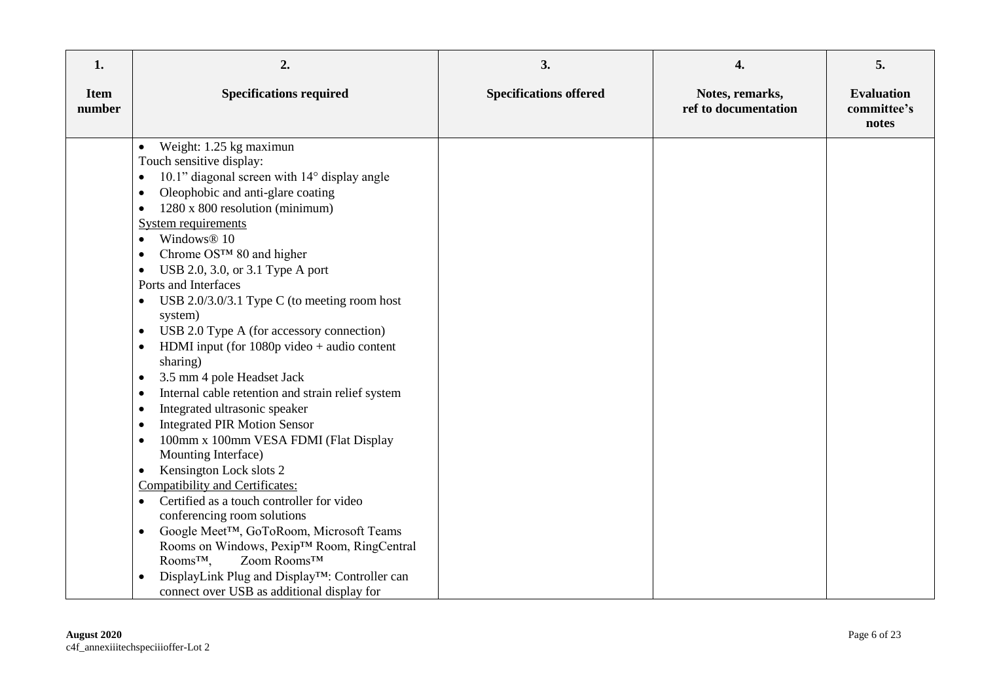| 1.                    | 2.                                                                                                                                                                                                                                                                                                                                                                                                                                                                                                                                                                                                                                                                                                                                                                                                                                                                                                                                                                                                                                                                                                                                                                                                                                                                                                         | 3.                            | 4.                                      | 5.                                        |
|-----------------------|------------------------------------------------------------------------------------------------------------------------------------------------------------------------------------------------------------------------------------------------------------------------------------------------------------------------------------------------------------------------------------------------------------------------------------------------------------------------------------------------------------------------------------------------------------------------------------------------------------------------------------------------------------------------------------------------------------------------------------------------------------------------------------------------------------------------------------------------------------------------------------------------------------------------------------------------------------------------------------------------------------------------------------------------------------------------------------------------------------------------------------------------------------------------------------------------------------------------------------------------------------------------------------------------------------|-------------------------------|-----------------------------------------|-------------------------------------------|
| <b>Item</b><br>number | <b>Specifications required</b>                                                                                                                                                                                                                                                                                                                                                                                                                                                                                                                                                                                                                                                                                                                                                                                                                                                                                                                                                                                                                                                                                                                                                                                                                                                                             | <b>Specifications offered</b> | Notes, remarks,<br>ref to documentation | <b>Evaluation</b><br>committee's<br>notes |
|                       | Weight: 1.25 kg maximun<br>$\bullet$<br>Touch sensitive display:<br>10.1" diagonal screen with 14° display angle<br>$\bullet$<br>Oleophobic and anti-glare coating<br>$\bullet$<br>1280 x 800 resolution (minimum)<br>$\bullet$<br><b>System requirements</b><br>Windows® 10<br>$\bullet$<br>Chrome OS™ 80 and higher<br>USB 2.0, 3.0, or 3.1 Type A port<br>$\bullet$<br>Ports and Interfaces<br>USB 2.0/3.0/3.1 Type C (to meeting room host<br>$\bullet$<br>system)<br>USB 2.0 Type A (for accessory connection)<br>$\bullet$<br>HDMI input (for $1080p$ video + audio content<br>sharing)<br>3.5 mm 4 pole Headset Jack<br>$\bullet$<br>Internal cable retention and strain relief system<br>$\bullet$<br>Integrated ultrasonic speaker<br>$\bullet$<br><b>Integrated PIR Motion Sensor</b><br>100mm x 100mm VESA FDMI (Flat Display<br>$\bullet$<br>Mounting Interface)<br>Kensington Lock slots 2<br>$\bullet$<br>Compatibility and Certificates:<br>Certified as a touch controller for video<br>$\bullet$<br>conferencing room solutions<br>Google Meet™, GoToRoom, Microsoft Teams<br>$\bullet$<br>Rooms on Windows, Pexip™ Room, RingCentral<br>Zoom Rooms™<br>Rooms <sup>TM</sup> ,<br>DisplayLink Plug and Display™: Controller can<br>$\bullet$<br>connect over USB as additional display for |                               |                                         |                                           |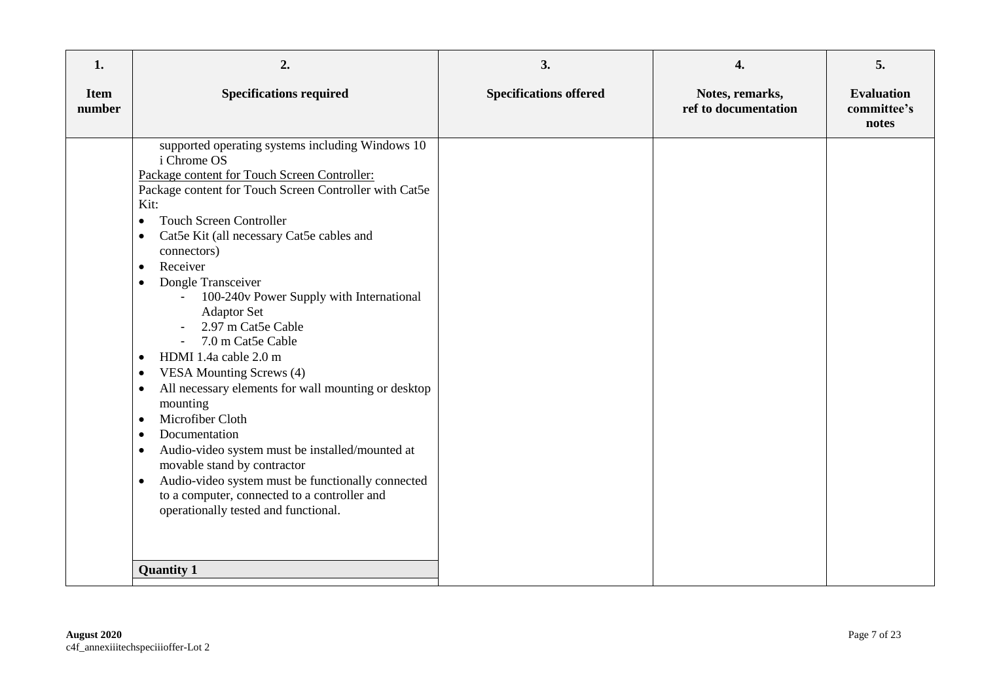| 1.                    | 2.                                                                                                                                                                                                                                                                                                                                                                                                                                                                                                                                                                                                                                                                                                                                                                                                                                                                                                                                                                  | 3.                            | 4.                                      | 5.                                        |
|-----------------------|---------------------------------------------------------------------------------------------------------------------------------------------------------------------------------------------------------------------------------------------------------------------------------------------------------------------------------------------------------------------------------------------------------------------------------------------------------------------------------------------------------------------------------------------------------------------------------------------------------------------------------------------------------------------------------------------------------------------------------------------------------------------------------------------------------------------------------------------------------------------------------------------------------------------------------------------------------------------|-------------------------------|-----------------------------------------|-------------------------------------------|
| <b>Item</b><br>number | <b>Specifications required</b>                                                                                                                                                                                                                                                                                                                                                                                                                                                                                                                                                                                                                                                                                                                                                                                                                                                                                                                                      | <b>Specifications offered</b> | Notes, remarks,<br>ref to documentation | <b>Evaluation</b><br>committee's<br>notes |
|                       | supported operating systems including Windows 10<br>i Chrome OS<br>Package content for Touch Screen Controller:<br>Package content for Touch Screen Controller with Cat5e<br>Kit:<br><b>Touch Screen Controller</b><br>$\bullet$<br>Cat5e Kit (all necessary Cat5e cables and<br>$\bullet$<br>connectors)<br>Receiver<br>$\bullet$<br>Dongle Transceiver<br>$\bullet$<br>100-240v Power Supply with International<br><b>Adaptor Set</b><br>2.97 m Cat5e Cable<br>7.0 m Cat5e Cable<br>HDMI 1.4a cable 2.0 m<br>$\bullet$<br><b>VESA Mounting Screws (4)</b><br>All necessary elements for wall mounting or desktop<br>$\bullet$<br>mounting<br>Microfiber Cloth<br>$\bullet$<br>Documentation<br>$\bullet$<br>Audio-video system must be installed/mounted at<br>$\bullet$<br>movable stand by contractor<br>Audio-video system must be functionally connected<br>$\bullet$<br>to a computer, connected to a controller and<br>operationally tested and functional. |                               |                                         |                                           |
|                       | <b>Quantity 1</b>                                                                                                                                                                                                                                                                                                                                                                                                                                                                                                                                                                                                                                                                                                                                                                                                                                                                                                                                                   |                               |                                         |                                           |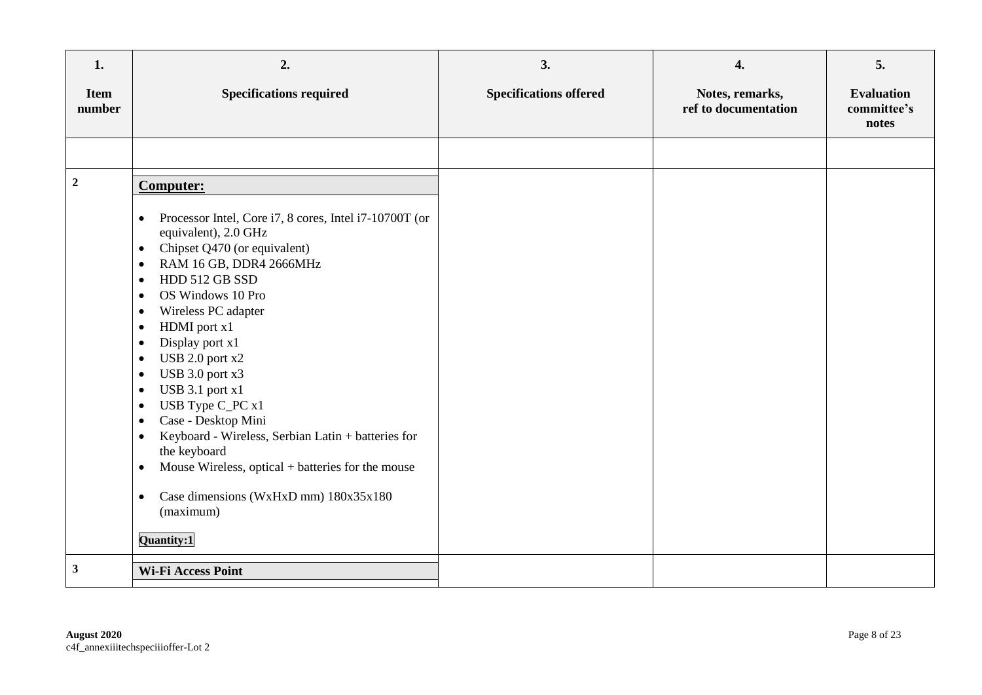| 1.                    | 2.                                                                                                                                                                                                                                                                                                                                                                                                                                                                                                                                                                                                                                                                                                                                                                  | 3.                            | 4.                                      | 5.                                        |
|-----------------------|---------------------------------------------------------------------------------------------------------------------------------------------------------------------------------------------------------------------------------------------------------------------------------------------------------------------------------------------------------------------------------------------------------------------------------------------------------------------------------------------------------------------------------------------------------------------------------------------------------------------------------------------------------------------------------------------------------------------------------------------------------------------|-------------------------------|-----------------------------------------|-------------------------------------------|
| <b>Item</b><br>number | <b>Specifications required</b>                                                                                                                                                                                                                                                                                                                                                                                                                                                                                                                                                                                                                                                                                                                                      | <b>Specifications offered</b> | Notes, remarks,<br>ref to documentation | <b>Evaluation</b><br>committee's<br>notes |
|                       |                                                                                                                                                                                                                                                                                                                                                                                                                                                                                                                                                                                                                                                                                                                                                                     |                               |                                         |                                           |
| $\overline{2}$        | <b>Computer:</b><br>Processor Intel, Core i7, 8 cores, Intel i7-10700T (or<br>$\bullet$<br>equivalent), 2.0 GHz<br>Chipset Q470 (or equivalent)<br>$\bullet$<br>RAM 16 GB, DDR4 2666MHz<br>$\bullet$<br>HDD 512 GB SSD<br>$\bullet$<br>OS Windows 10 Pro<br>$\bullet$<br>Wireless PC adapter<br>$\bullet$<br>HDMI port x1<br>$\bullet$<br>Display port x1<br>$\bullet$<br>USB 2.0 port x2<br>$\bullet$<br>USB 3.0 port x3<br>$\bullet$<br>USB 3.1 port x1<br>$\bullet$<br>USB Type C_PC x1<br>$\bullet$<br>Case - Desktop Mini<br>$\bullet$<br>Keyboard - Wireless, Serbian Latin + batteries for<br>$\bullet$<br>the keyboard<br>Mouse Wireless, optical + batteries for the mouse<br>$\bullet$<br>Case dimensions (WxHxD mm) 180x35x180<br>$\bullet$<br>(maximum) |                               |                                         |                                           |
|                       | Quantity:1                                                                                                                                                                                                                                                                                                                                                                                                                                                                                                                                                                                                                                                                                                                                                          |                               |                                         |                                           |
| $\mathbf{3}$          | <b>Wi-Fi Access Point</b>                                                                                                                                                                                                                                                                                                                                                                                                                                                                                                                                                                                                                                                                                                                                           |                               |                                         |                                           |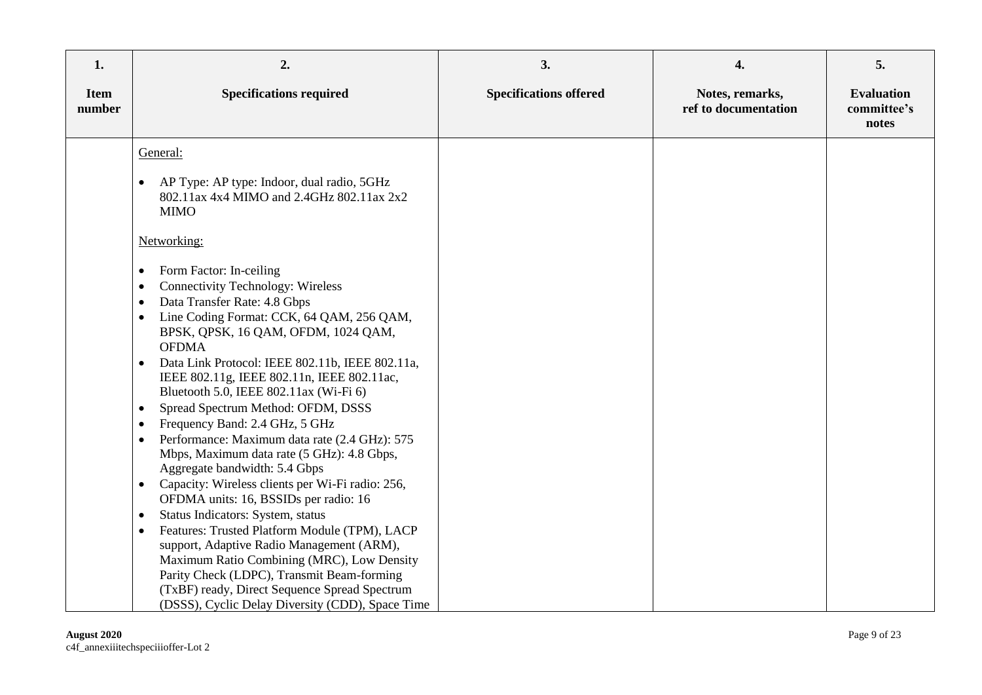| 1.                    | 2.                                                                                                                                                                                                                                                                                                                                                                                                                                                                                                                                                                                                                                                                                                                                                                                                                                                                                                                                                                                                                                                                                                                                                                                                                                       | 3.                            | 4.                                      | 5.                                        |
|-----------------------|------------------------------------------------------------------------------------------------------------------------------------------------------------------------------------------------------------------------------------------------------------------------------------------------------------------------------------------------------------------------------------------------------------------------------------------------------------------------------------------------------------------------------------------------------------------------------------------------------------------------------------------------------------------------------------------------------------------------------------------------------------------------------------------------------------------------------------------------------------------------------------------------------------------------------------------------------------------------------------------------------------------------------------------------------------------------------------------------------------------------------------------------------------------------------------------------------------------------------------------|-------------------------------|-----------------------------------------|-------------------------------------------|
| <b>Item</b><br>number | <b>Specifications required</b>                                                                                                                                                                                                                                                                                                                                                                                                                                                                                                                                                                                                                                                                                                                                                                                                                                                                                                                                                                                                                                                                                                                                                                                                           | <b>Specifications offered</b> | Notes, remarks,<br>ref to documentation | <b>Evaluation</b><br>committee's<br>notes |
|                       | General:<br>AP Type: AP type: Indoor, dual radio, 5GHz<br>$\bullet$<br>802.11ax 4x4 MIMO and 2.4GHz 802.11ax 2x2<br><b>MIMO</b><br>Networking:<br>Form Factor: In-ceiling<br>$\bullet$<br><b>Connectivity Technology: Wireless</b><br>$\bullet$<br>Data Transfer Rate: 4.8 Gbps<br>$\bullet$<br>Line Coding Format: CCK, 64 QAM, 256 QAM,<br>$\bullet$<br>BPSK, QPSK, 16 QAM, OFDM, 1024 QAM,<br><b>OFDMA</b><br>Data Link Protocol: IEEE 802.11b, IEEE 802.11a,<br>$\bullet$<br>IEEE 802.11g, IEEE 802.11n, IEEE 802.11ac,<br>Bluetooth 5.0, IEEE 802.11ax (Wi-Fi 6)<br>Spread Spectrum Method: OFDM, DSSS<br>$\bullet$<br>Frequency Band: 2.4 GHz, 5 GHz<br>$\bullet$<br>Performance: Maximum data rate (2.4 GHz): 575<br>$\bullet$<br>Mbps, Maximum data rate (5 GHz): 4.8 Gbps,<br>Aggregate bandwidth: 5.4 Gbps<br>Capacity: Wireless clients per Wi-Fi radio: 256,<br>$\bullet$<br>OFDMA units: 16, BSSIDs per radio: 16<br>Status Indicators: System, status<br>$\bullet$<br>Features: Trusted Platform Module (TPM), LACP<br>$\bullet$<br>support, Adaptive Radio Management (ARM),<br>Maximum Ratio Combining (MRC), Low Density<br>Parity Check (LDPC), Transmit Beam-forming<br>(TxBF) ready, Direct Sequence Spread Spectrum |                               |                                         |                                           |
|                       | (DSSS), Cyclic Delay Diversity (CDD), Space Time                                                                                                                                                                                                                                                                                                                                                                                                                                                                                                                                                                                                                                                                                                                                                                                                                                                                                                                                                                                                                                                                                                                                                                                         |                               |                                         |                                           |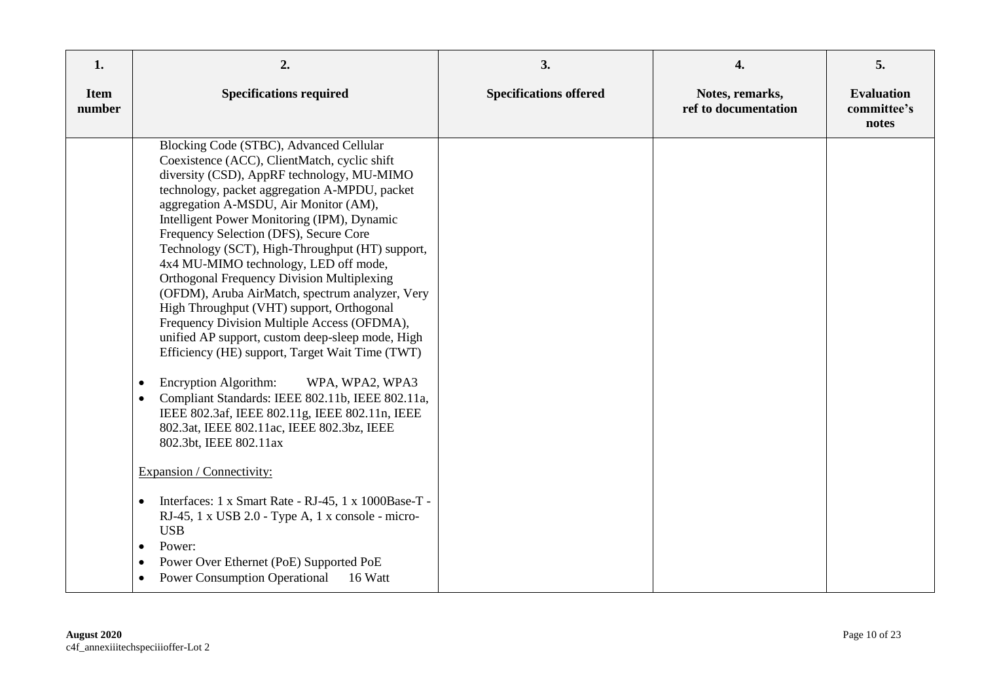| 1.                    | 2.                                                                                                                                                                                                                                                                                                                                                                                                                                                                                                                                                                                                                                                                                                                                                                                                                                                                                                                                                                                  | 3.                            | 4.                                      | 5.                                        |
|-----------------------|-------------------------------------------------------------------------------------------------------------------------------------------------------------------------------------------------------------------------------------------------------------------------------------------------------------------------------------------------------------------------------------------------------------------------------------------------------------------------------------------------------------------------------------------------------------------------------------------------------------------------------------------------------------------------------------------------------------------------------------------------------------------------------------------------------------------------------------------------------------------------------------------------------------------------------------------------------------------------------------|-------------------------------|-----------------------------------------|-------------------------------------------|
| <b>Item</b><br>number | <b>Specifications required</b>                                                                                                                                                                                                                                                                                                                                                                                                                                                                                                                                                                                                                                                                                                                                                                                                                                                                                                                                                      | <b>Specifications offered</b> | Notes, remarks,<br>ref to documentation | <b>Evaluation</b><br>committee's<br>notes |
|                       | Blocking Code (STBC), Advanced Cellular<br>Coexistence (ACC), ClientMatch, cyclic shift<br>diversity (CSD), AppRF technology, MU-MIMO<br>technology, packet aggregation A-MPDU, packet<br>aggregation A-MSDU, Air Monitor (AM),<br>Intelligent Power Monitoring (IPM), Dynamic<br>Frequency Selection (DFS), Secure Core<br>Technology (SCT), High-Throughput (HT) support,<br>4x4 MU-MIMO technology, LED off mode,<br><b>Orthogonal Frequency Division Multiplexing</b><br>(OFDM), Aruba AirMatch, spectrum analyzer, Very<br>High Throughput (VHT) support, Orthogonal<br>Frequency Division Multiple Access (OFDMA),<br>unified AP support, custom deep-sleep mode, High<br>Efficiency (HE) support, Target Wait Time (TWT)<br>Encryption Algorithm:<br>WPA, WPA2, WPA3<br>$\bullet$<br>Compliant Standards: IEEE 802.11b, IEEE 802.11a,<br>$\bullet$<br>IEEE 802.3af, IEEE 802.11g, IEEE 802.11n, IEEE<br>802.3at, IEEE 802.11ac, IEEE 802.3bz, IEEE<br>802.3bt, IEEE 802.11ax |                               |                                         |                                           |
|                       | Expansion / Connectivity:                                                                                                                                                                                                                                                                                                                                                                                                                                                                                                                                                                                                                                                                                                                                                                                                                                                                                                                                                           |                               |                                         |                                           |
|                       | Interfaces: 1 x Smart Rate - RJ-45, 1 x 1000Base-T -<br>$\bullet$<br>RJ-45, 1 x USB 2.0 - Type A, 1 x console - micro-<br><b>USB</b><br>Power:<br>$\bullet$<br>Power Over Ethernet (PoE) Supported PoE<br><b>Power Consumption Operational</b><br>16 Watt<br>$\bullet$                                                                                                                                                                                                                                                                                                                                                                                                                                                                                                                                                                                                                                                                                                              |                               |                                         |                                           |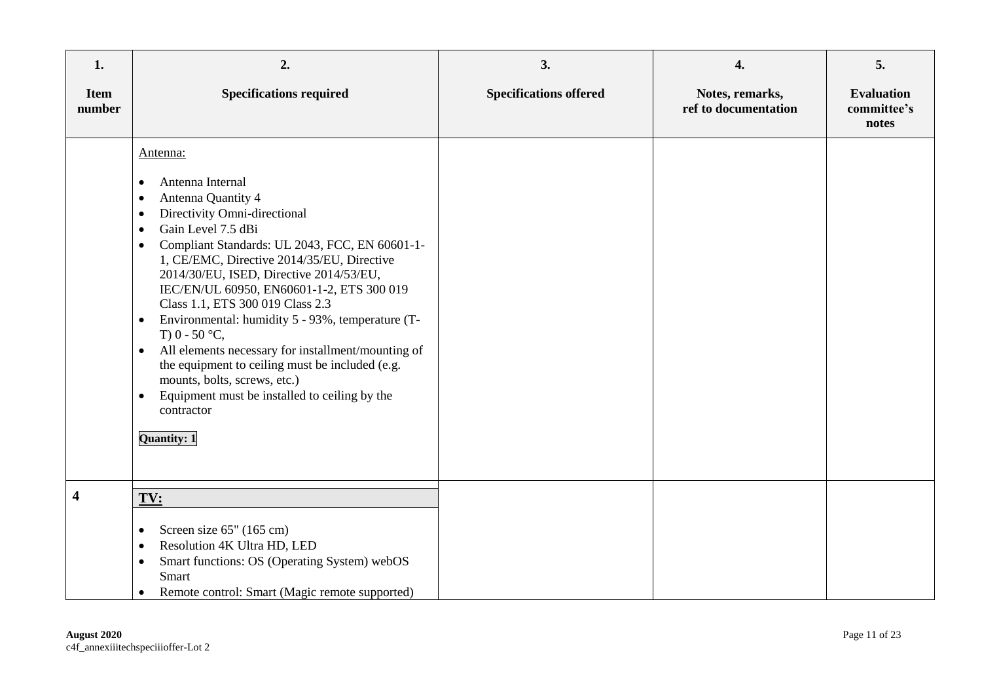| 1.                      | 2.                                                                                                                                                                                                                                                                                                                                                                                                                                                                                                                                                                                                                                                                                    | 3.                            | 4.                                      | 5.                                        |
|-------------------------|---------------------------------------------------------------------------------------------------------------------------------------------------------------------------------------------------------------------------------------------------------------------------------------------------------------------------------------------------------------------------------------------------------------------------------------------------------------------------------------------------------------------------------------------------------------------------------------------------------------------------------------------------------------------------------------|-------------------------------|-----------------------------------------|-------------------------------------------|
| <b>Item</b><br>number   | <b>Specifications required</b>                                                                                                                                                                                                                                                                                                                                                                                                                                                                                                                                                                                                                                                        | <b>Specifications offered</b> | Notes, remarks,<br>ref to documentation | <b>Evaluation</b><br>committee's<br>notes |
|                         | Antenna:<br>Antenna Internal<br>٠<br>Antenna Quantity 4<br>٠<br>Directivity Omni-directional<br>٠<br>Gain Level 7.5 dBi<br>Compliant Standards: UL 2043, FCC, EN 60601-1-<br>$\bullet$<br>1, CE/EMC, Directive 2014/35/EU, Directive<br>2014/30/EU, ISED, Directive 2014/53/EU,<br>IEC/EN/UL 60950, EN60601-1-2, ETS 300 019<br>Class 1.1, ETS 300 019 Class 2.3<br>Environmental: humidity 5 - 93%, temperature (T-<br>٠<br>T) $0 - 50$ °C,<br>All elements necessary for installment/mounting of<br>$\bullet$<br>the equipment to ceiling must be included (e.g.<br>mounts, bolts, screws, etc.)<br>Equipment must be installed to ceiling by the<br>٠<br>contractor<br>Quantity: 1 |                               |                                         |                                           |
| $\overline{\mathbf{4}}$ | TV:<br>Screen size 65" (165 cm)<br>Resolution 4K Ultra HD, LED<br>$\bullet$<br>Smart functions: OS (Operating System) webOS<br>$\bullet$<br>Smart<br>Remote control: Smart (Magic remote supported)<br>٠                                                                                                                                                                                                                                                                                                                                                                                                                                                                              |                               |                                         |                                           |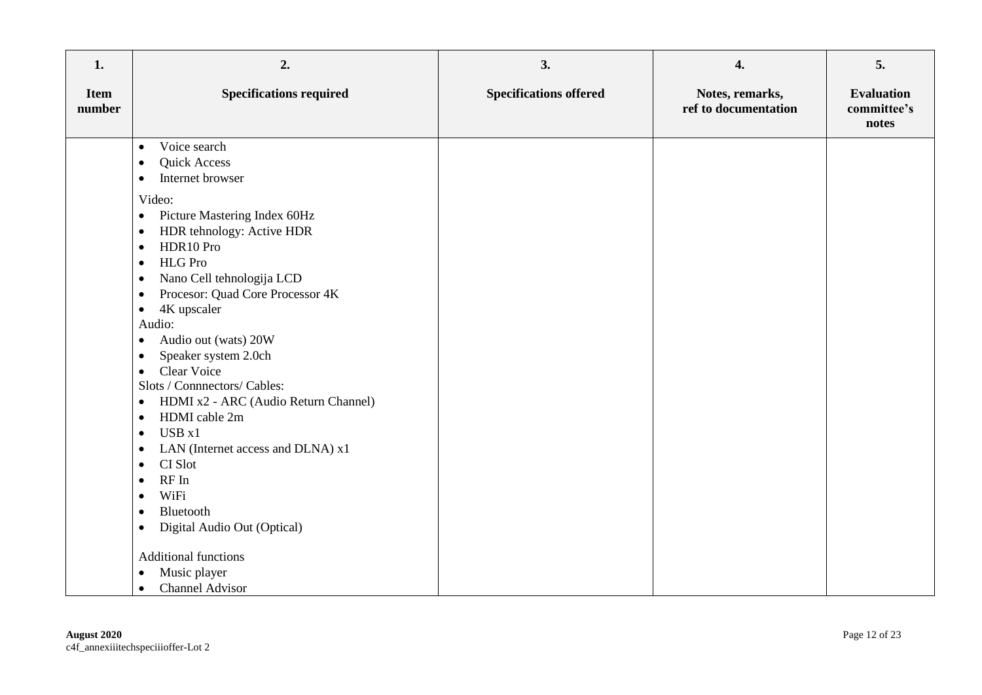| 1.                    | 2.                                                                                                                                                                                                                                                                                                                                                                                                                                                                                                                                                                                                                                                                                                                                         | 3.                            | 4.                                      | 5.                                        |
|-----------------------|--------------------------------------------------------------------------------------------------------------------------------------------------------------------------------------------------------------------------------------------------------------------------------------------------------------------------------------------------------------------------------------------------------------------------------------------------------------------------------------------------------------------------------------------------------------------------------------------------------------------------------------------------------------------------------------------------------------------------------------------|-------------------------------|-----------------------------------------|-------------------------------------------|
| <b>Item</b><br>number | <b>Specifications required</b>                                                                                                                                                                                                                                                                                                                                                                                                                                                                                                                                                                                                                                                                                                             | <b>Specifications offered</b> | Notes, remarks,<br>ref to documentation | <b>Evaluation</b><br>committee's<br>notes |
|                       | Voice search<br>$\bullet$<br>Quick Access<br>$\bullet$<br>Internet browser<br>$\bullet$                                                                                                                                                                                                                                                                                                                                                                                                                                                                                                                                                                                                                                                    |                               |                                         |                                           |
|                       | Video:<br>Picture Mastering Index 60Hz<br>$\bullet$<br>HDR tehnology: Active HDR<br>$\bullet$<br>HDR10 Pro<br>$\bullet$<br><b>HLG</b> Pro<br>$\bullet$<br>Nano Cell tehnologija LCD<br>$\bullet$<br>Procesor: Quad Core Processor 4K<br>$\bullet$<br>4K upscaler<br>$\bullet$<br>Audio:<br>Audio out (wats) 20W<br>$\bullet$<br>Speaker system 2.0ch<br>٠<br>Clear Voice<br>$\bullet$<br>Slots / Connnectors/ Cables:<br>HDMI x2 - ARC (Audio Return Channel)<br>$\bullet$<br>HDMI cable 2m<br>$\bullet$<br>USB x1<br>$\bullet$<br>LAN (Internet access and DLNA) x1<br>$\bullet$<br>CI Slot<br>$\bullet$<br>RF In<br>$\bullet$<br>WiFi<br>$\bullet$<br>Bluetooth<br>$\bullet$<br>Digital Audio Out (Optical)<br>٠<br>Additional functions |                               |                                         |                                           |
|                       | Music player<br>$\bullet$<br><b>Channel Advisor</b><br>$\bullet$                                                                                                                                                                                                                                                                                                                                                                                                                                                                                                                                                                                                                                                                           |                               |                                         |                                           |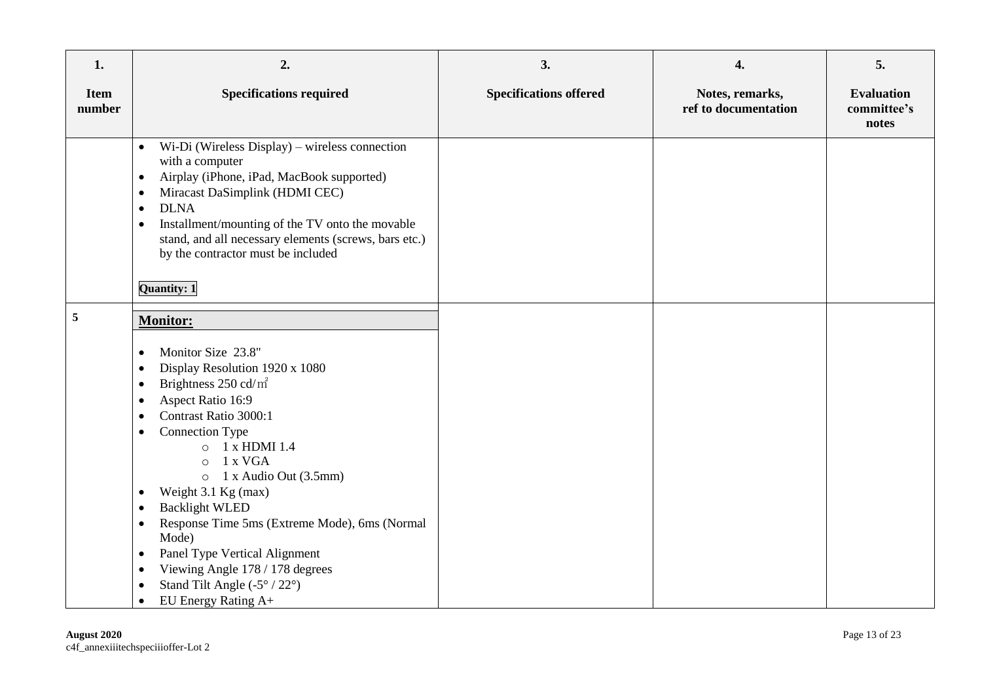| 1.                    | 2.                                                                                                                                                                                                                                                                                                                                                                                                                                                                                                                                                                                                                                                 | 3.                            | 4.                                      | 5.                                        |
|-----------------------|----------------------------------------------------------------------------------------------------------------------------------------------------------------------------------------------------------------------------------------------------------------------------------------------------------------------------------------------------------------------------------------------------------------------------------------------------------------------------------------------------------------------------------------------------------------------------------------------------------------------------------------------------|-------------------------------|-----------------------------------------|-------------------------------------------|
| <b>Item</b><br>number | <b>Specifications required</b>                                                                                                                                                                                                                                                                                                                                                                                                                                                                                                                                                                                                                     | <b>Specifications offered</b> | Notes, remarks,<br>ref to documentation | <b>Evaluation</b><br>committee's<br>notes |
|                       | Wi-Di (Wireless Display) – wireless connection<br>$\bullet$<br>with a computer<br>Airplay (iPhone, iPad, MacBook supported)<br>$\bullet$<br>Miracast DaSimplink (HDMI CEC)<br>$\bullet$<br><b>DLNA</b><br>$\bullet$<br>Installment/mounting of the TV onto the movable<br>$\bullet$<br>stand, and all necessary elements (screws, bars etc.)<br>by the contractor must be included                                                                                                                                                                                                                                                                 |                               |                                         |                                           |
|                       | Quantity: 1                                                                                                                                                                                                                                                                                                                                                                                                                                                                                                                                                                                                                                        |                               |                                         |                                           |
| $\sqrt{5}$            | <b>Monitor:</b><br>Monitor Size 23.8"<br>$\bullet$<br>Display Resolution 1920 x 1080<br>Brightness 250 cd/m <sup>2</sup><br>$\bullet$<br>Aspect Ratio 16:9<br>Contrast Ratio 3000:1<br><b>Connection Type</b><br>$\bullet$<br>1 x HDMI 1.4<br>$\circ$<br>1 x VGA<br>$\circ$<br>1 x Audio Out (3.5mm)<br>$\circ$<br>Weight 3.1 Kg (max)<br>$\bullet$<br><b>Backlight WLED</b><br>$\bullet$<br>Response Time 5ms (Extreme Mode), 6ms (Normal<br>$\bullet$<br>Mode)<br>Panel Type Vertical Alignment<br>$\bullet$<br>Viewing Angle 178 / 178 degrees<br>$\bullet$<br>Stand Tilt Angle $(-5^{\circ}/22^{\circ})$<br>EU Energy Rating $A+$<br>$\bullet$ |                               |                                         |                                           |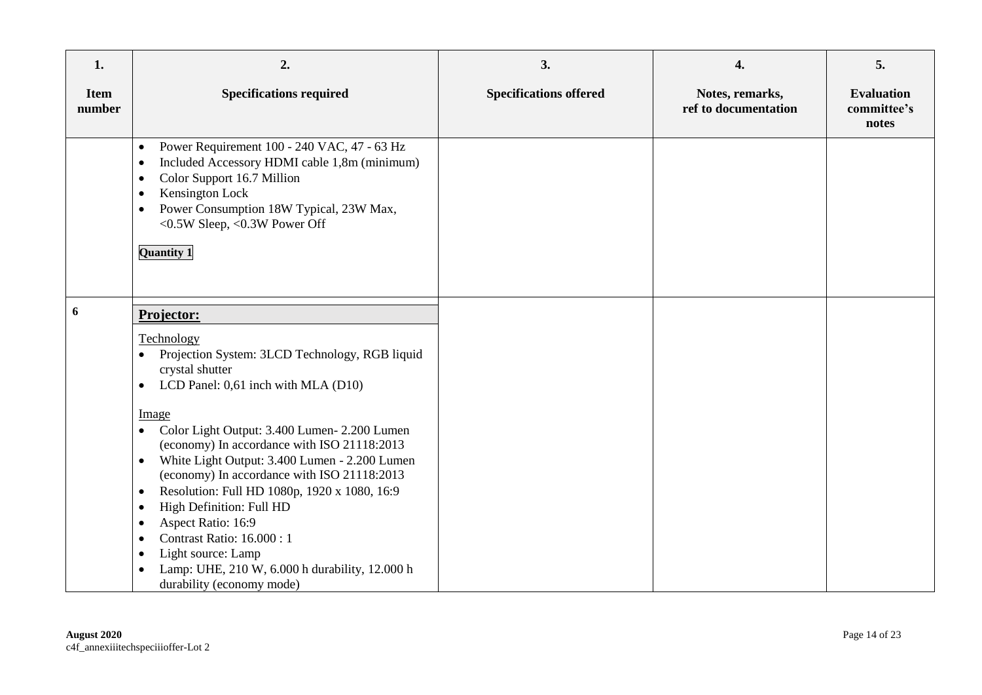| 1.                    | 2.                                                                                                                                                                                                                                                                                                                                                                                                                                                                                                                                                                                                         | 3.                            | 4.                                      | 5.                                        |
|-----------------------|------------------------------------------------------------------------------------------------------------------------------------------------------------------------------------------------------------------------------------------------------------------------------------------------------------------------------------------------------------------------------------------------------------------------------------------------------------------------------------------------------------------------------------------------------------------------------------------------------------|-------------------------------|-----------------------------------------|-------------------------------------------|
| <b>Item</b><br>number | <b>Specifications required</b>                                                                                                                                                                                                                                                                                                                                                                                                                                                                                                                                                                             | <b>Specifications offered</b> | Notes, remarks,<br>ref to documentation | <b>Evaluation</b><br>committee's<br>notes |
|                       | Power Requirement 100 - 240 VAC, 47 - 63 Hz<br>$\bullet$<br>Included Accessory HDMI cable 1,8m (minimum)<br>٠<br>Color Support 16.7 Million<br>٠<br>Kensington Lock<br>Power Consumption 18W Typical, 23W Max,<br><0.5W Sleep, <0.3W Power Off<br><b>Quantity 1</b>                                                                                                                                                                                                                                                                                                                                        |                               |                                         |                                           |
| 6                     | Projector:                                                                                                                                                                                                                                                                                                                                                                                                                                                                                                                                                                                                 |                               |                                         |                                           |
|                       | Technology<br>Projection System: 3LCD Technology, RGB liquid<br>crystal shutter<br>LCD Panel: 0,61 inch with MLA (D10)<br>$\bullet$<br>Image<br>Color Light Output: 3.400 Lumen-2.200 Lumen<br>(economy) In accordance with ISO 21118:2013<br>White Light Output: 3.400 Lumen - 2.200 Lumen<br>$\bullet$<br>(economy) In accordance with ISO 21118:2013<br>Resolution: Full HD 1080p, 1920 x 1080, 16:9<br>٠<br>High Definition: Full HD<br>٠<br>Aspect Ratio: 16:9<br>Contrast Ratio: 16.000: 1<br>٠<br>Light source: Lamp<br>Lamp: UHE, 210 W, 6.000 h durability, 12.000 h<br>durability (economy mode) |                               |                                         |                                           |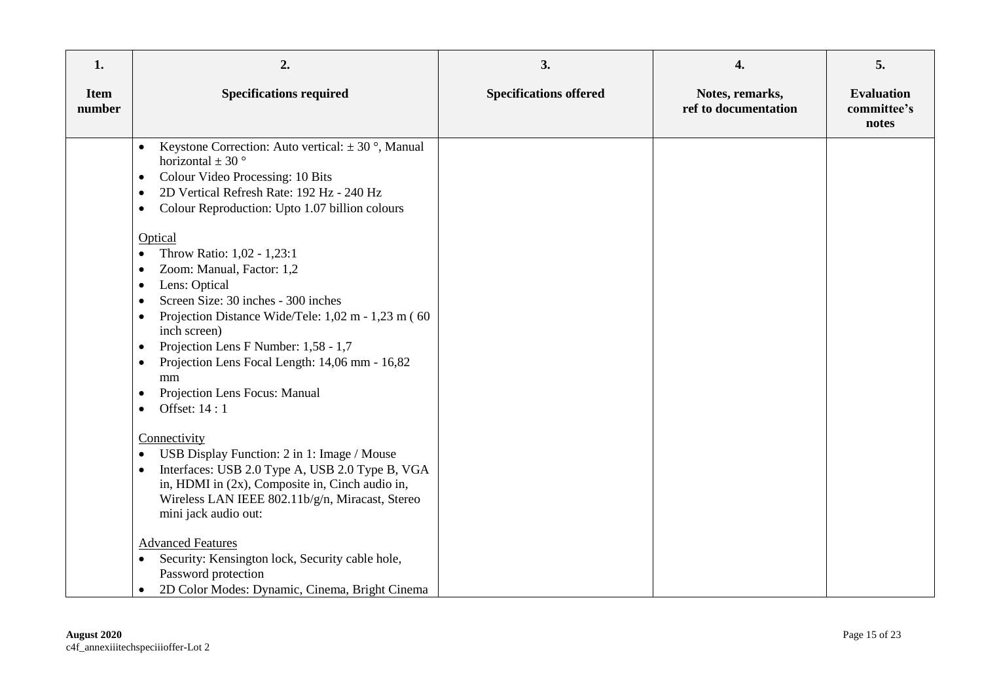| 1.                    | 2.                                                                                                                                                                                                                                                                                                                                                                                                 | 3.                            | 4.                                      | 5.                                        |
|-----------------------|----------------------------------------------------------------------------------------------------------------------------------------------------------------------------------------------------------------------------------------------------------------------------------------------------------------------------------------------------------------------------------------------------|-------------------------------|-----------------------------------------|-------------------------------------------|
| <b>Item</b><br>number | <b>Specifications required</b>                                                                                                                                                                                                                                                                                                                                                                     | <b>Specifications offered</b> | Notes, remarks,<br>ref to documentation | <b>Evaluation</b><br>committee's<br>notes |
|                       | Keystone Correction: Auto vertical: $\pm$ 30 $^{\circ}$ , Manual<br>$\bullet$<br>horizontal $\pm$ 30 $^{\circ}$<br>Colour Video Processing: 10 Bits<br>$\bullet$<br>2D Vertical Refresh Rate: 192 Hz - 240 Hz<br>$\bullet$<br>Colour Reproduction: Upto 1.07 billion colours<br>٠<br>Optical                                                                                                       |                               |                                         |                                           |
|                       | Throw Ratio: 1,02 - 1,23:1<br>$\bullet$<br>Zoom: Manual, Factor: 1,2<br>Lens: Optical<br>٠<br>Screen Size: 30 inches - 300 inches<br>Projection Distance Wide/Tele: 1,02 m - 1,23 m (60)<br>$\bullet$<br>inch screen)<br>Projection Lens F Number: 1,58 - 1,7<br>$\bullet$<br>Projection Lens Focal Length: 14,06 mm - 16,82<br>$\bullet$<br>mm<br>Projection Lens Focus: Manual<br>Offset: 14 : 1 |                               |                                         |                                           |
|                       | Connectivity<br>USB Display Function: 2 in 1: Image / Mouse<br>$\bullet$<br>Interfaces: USB 2.0 Type A, USB 2.0 Type B, VGA<br>$\bullet$<br>in, HDMI in (2x), Composite in, Cinch audio in,<br>Wireless LAN IEEE 802.11b/g/n, Miracast, Stereo<br>mini jack audio out:                                                                                                                             |                               |                                         |                                           |
|                       | <b>Advanced Features</b><br>Security: Kensington lock, Security cable hole,<br>$\bullet$<br>Password protection<br>2D Color Modes: Dynamic, Cinema, Bright Cinema<br>$\bullet$                                                                                                                                                                                                                     |                               |                                         |                                           |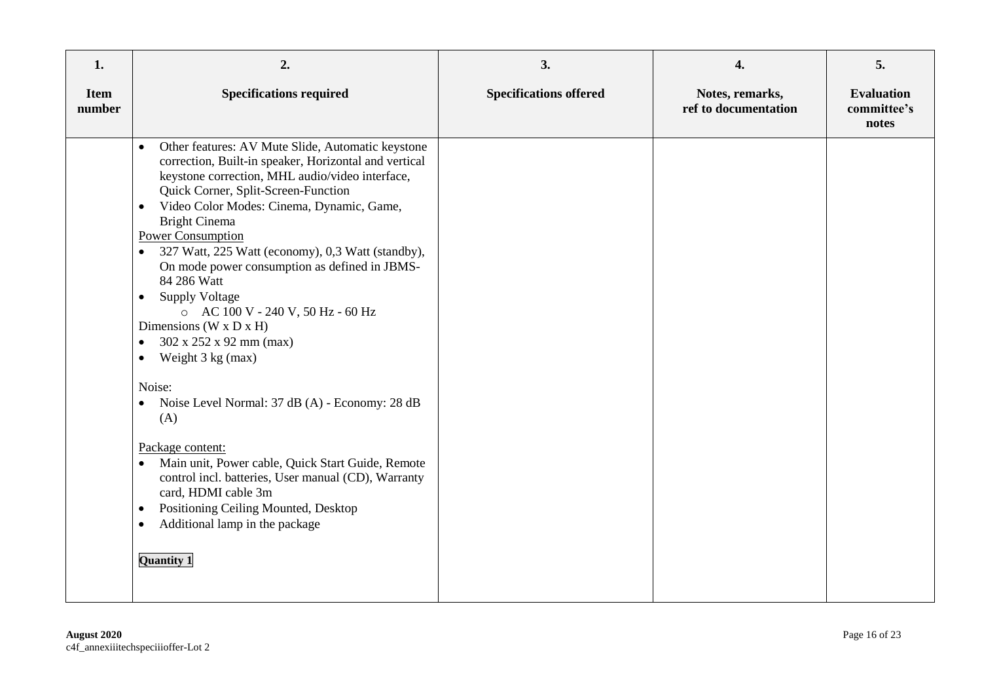| 1.                    | 2.                                                                                                                                                                                                                                                                                                                                                                                                                                                                                                                                                                                                                                                                                                                                                                                                                                                                                                                                                                                                               | 3.                            | 4.                                      | 5.                                        |
|-----------------------|------------------------------------------------------------------------------------------------------------------------------------------------------------------------------------------------------------------------------------------------------------------------------------------------------------------------------------------------------------------------------------------------------------------------------------------------------------------------------------------------------------------------------------------------------------------------------------------------------------------------------------------------------------------------------------------------------------------------------------------------------------------------------------------------------------------------------------------------------------------------------------------------------------------------------------------------------------------------------------------------------------------|-------------------------------|-----------------------------------------|-------------------------------------------|
| <b>Item</b><br>number | <b>Specifications required</b>                                                                                                                                                                                                                                                                                                                                                                                                                                                                                                                                                                                                                                                                                                                                                                                                                                                                                                                                                                                   | <b>Specifications offered</b> | Notes, remarks,<br>ref to documentation | <b>Evaluation</b><br>committee's<br>notes |
|                       | Other features: AV Mute Slide, Automatic keystone<br>$\bullet$<br>correction, Built-in speaker, Horizontal and vertical<br>keystone correction, MHL audio/video interface,<br>Quick Corner, Split-Screen-Function<br>Video Color Modes: Cinema, Dynamic, Game,<br>$\bullet$<br><b>Bright Cinema</b><br><b>Power Consumption</b><br>327 Watt, 225 Watt (economy), 0,3 Watt (standby),<br>$\bullet$<br>On mode power consumption as defined in JBMS-<br>84 286 Watt<br><b>Supply Voltage</b><br>$\bullet$<br>o AC 100 V - 240 V, 50 Hz - 60 Hz<br>Dimensions (W x D x H)<br>302 x 252 x 92 mm (max)<br>$\bullet$<br>Weight 3 kg (max)<br>$\bullet$<br>Noise:<br>Noise Level Normal: 37 dB (A) - Economy: 28 dB<br>(A)<br>Package content:<br>Main unit, Power cable, Quick Start Guide, Remote<br>$\bullet$<br>control incl. batteries, User manual (CD), Warranty<br>card, HDMI cable 3m<br>Positioning Ceiling Mounted, Desktop<br>$\bullet$<br>Additional lamp in the package<br>$\bullet$<br><b>Quantity 1</b> |                               |                                         |                                           |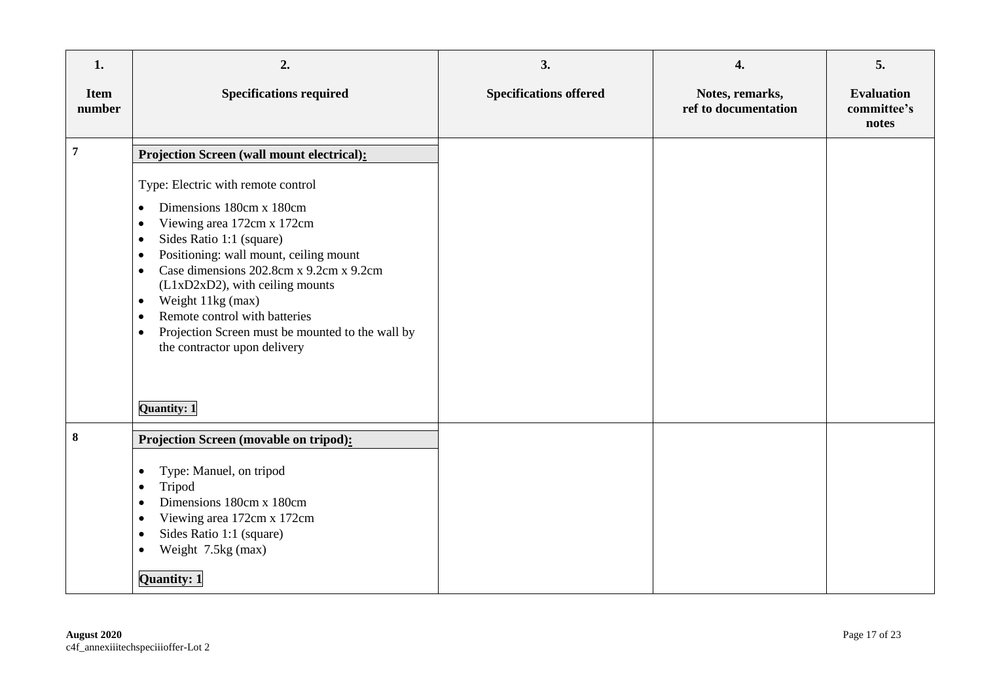| 1.                    | 2.                                                                                                                                                                                                                                                                                                                                                                                                                                                                                                       | 3.                            | 4.                                      | 5.                                        |
|-----------------------|----------------------------------------------------------------------------------------------------------------------------------------------------------------------------------------------------------------------------------------------------------------------------------------------------------------------------------------------------------------------------------------------------------------------------------------------------------------------------------------------------------|-------------------------------|-----------------------------------------|-------------------------------------------|
| <b>Item</b><br>number | <b>Specifications required</b>                                                                                                                                                                                                                                                                                                                                                                                                                                                                           | <b>Specifications offered</b> | Notes, remarks,<br>ref to documentation | <b>Evaluation</b><br>committee's<br>notes |
| $\overline{7}$        | Projection Screen (wall mount electrical):<br>Type: Electric with remote control<br>Dimensions 180cm x 180cm<br>$\bullet$<br>Viewing area 172cm x 172cm<br>٠<br>Sides Ratio 1:1 (square)<br>$\bullet$<br>Positioning: wall mount, ceiling mount<br>$\bullet$<br>Case dimensions 202.8cm x 9.2cm x 9.2cm<br>$\bullet$<br>(L1xD2xD2), with ceiling mounts<br>Weight 11kg (max)<br>$\bullet$<br>Remote control with batteries<br>$\bullet$<br>Projection Screen must be mounted to the wall by<br>$\bullet$ |                               |                                         |                                           |
| $\bf{8}$              | the contractor upon delivery<br>Quantity: 1<br>Projection Screen (movable on tripod):<br>Type: Manuel, on tripod<br>٠<br>Tripod<br>$\bullet$<br>Dimensions 180cm x 180cm<br>$\bullet$<br>Viewing area 172cm x 172cm<br>٠<br>Sides Ratio 1:1 (square)<br>$\bullet$<br>Weight 7.5kg (max)<br>٠<br>Quantity: 1                                                                                                                                                                                              |                               |                                         |                                           |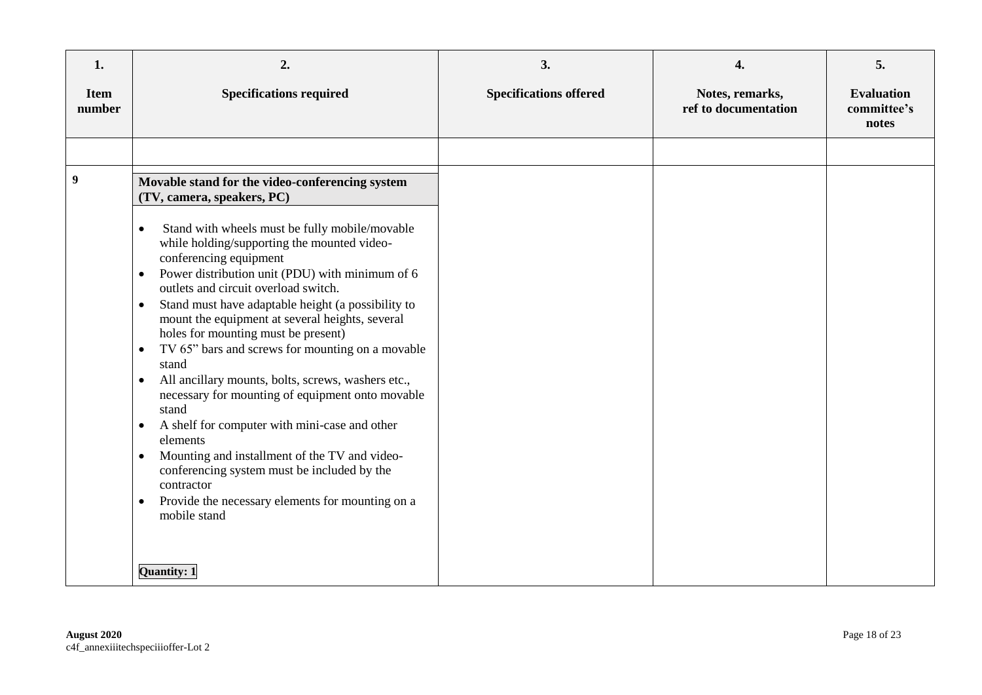| 1.                    | 2.                                                                                                                                                                                                                                                                                                                                                                                                                                                                                                                                                                                                                                                                                                                                                                                                                                                                                                                                                                                           | 3.                            | 4.                                      | 5.                                        |
|-----------------------|----------------------------------------------------------------------------------------------------------------------------------------------------------------------------------------------------------------------------------------------------------------------------------------------------------------------------------------------------------------------------------------------------------------------------------------------------------------------------------------------------------------------------------------------------------------------------------------------------------------------------------------------------------------------------------------------------------------------------------------------------------------------------------------------------------------------------------------------------------------------------------------------------------------------------------------------------------------------------------------------|-------------------------------|-----------------------------------------|-------------------------------------------|
| <b>Item</b><br>number | <b>Specifications required</b>                                                                                                                                                                                                                                                                                                                                                                                                                                                                                                                                                                                                                                                                                                                                                                                                                                                                                                                                                               | <b>Specifications offered</b> | Notes, remarks,<br>ref to documentation | <b>Evaluation</b><br>committee's<br>notes |
|                       |                                                                                                                                                                                                                                                                                                                                                                                                                                                                                                                                                                                                                                                                                                                                                                                                                                                                                                                                                                                              |                               |                                         |                                           |
| 9                     | Movable stand for the video-conferencing system<br>(TV, camera, speakers, PC)<br>Stand with wheels must be fully mobile/movable<br>$\bullet$<br>while holding/supporting the mounted video-<br>conferencing equipment<br>Power distribution unit (PDU) with minimum of 6<br>$\bullet$<br>outlets and circuit overload switch.<br>Stand must have adaptable height (a possibility to<br>$\bullet$<br>mount the equipment at several heights, several<br>holes for mounting must be present)<br>TV 65" bars and screws for mounting on a movable<br>$\bullet$<br>stand<br>All ancillary mounts, bolts, screws, washers etc.,<br>$\bullet$<br>necessary for mounting of equipment onto movable<br>stand<br>A shelf for computer with mini-case and other<br>elements<br>Mounting and installment of the TV and video-<br>$\bullet$<br>conferencing system must be included by the<br>contractor<br>Provide the necessary elements for mounting on a<br>$\bullet$<br>mobile stand<br>Quantity: 1 |                               |                                         |                                           |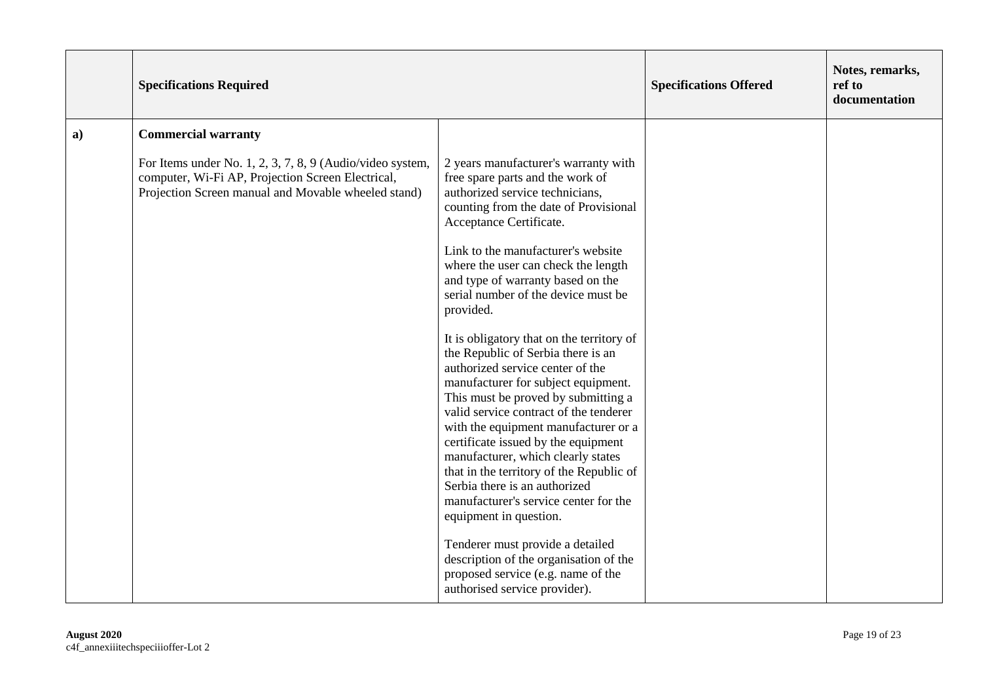|    | <b>Specifications Required</b>                                                                                                                                        |                                                                                                                                                                                                                                                                                                                                                                                                                                                                                                                  | <b>Specifications Offered</b> | Notes, remarks,<br>ref to<br>documentation |
|----|-----------------------------------------------------------------------------------------------------------------------------------------------------------------------|------------------------------------------------------------------------------------------------------------------------------------------------------------------------------------------------------------------------------------------------------------------------------------------------------------------------------------------------------------------------------------------------------------------------------------------------------------------------------------------------------------------|-------------------------------|--------------------------------------------|
| a) | <b>Commercial warranty</b>                                                                                                                                            |                                                                                                                                                                                                                                                                                                                                                                                                                                                                                                                  |                               |                                            |
|    | For Items under No. 1, 2, 3, 7, 8, 9 (Audio/video system,<br>computer, Wi-Fi AP, Projection Screen Electrical,<br>Projection Screen manual and Movable wheeled stand) | 2 years manufacturer's warranty with<br>free spare parts and the work of<br>authorized service technicians,<br>counting from the date of Provisional<br>Acceptance Certificate.                                                                                                                                                                                                                                                                                                                                  |                               |                                            |
|    |                                                                                                                                                                       | Link to the manufacturer's website<br>where the user can check the length<br>and type of warranty based on the<br>serial number of the device must be<br>provided.                                                                                                                                                                                                                                                                                                                                               |                               |                                            |
|    |                                                                                                                                                                       | It is obligatory that on the territory of<br>the Republic of Serbia there is an<br>authorized service center of the<br>manufacturer for subject equipment.<br>This must be proved by submitting a<br>valid service contract of the tenderer<br>with the equipment manufacturer or a<br>certificate issued by the equipment<br>manufacturer, which clearly states<br>that in the territory of the Republic of<br>Serbia there is an authorized<br>manufacturer's service center for the<br>equipment in question. |                               |                                            |
|    |                                                                                                                                                                       | Tenderer must provide a detailed<br>description of the organisation of the<br>proposed service (e.g. name of the<br>authorised service provider).                                                                                                                                                                                                                                                                                                                                                                |                               |                                            |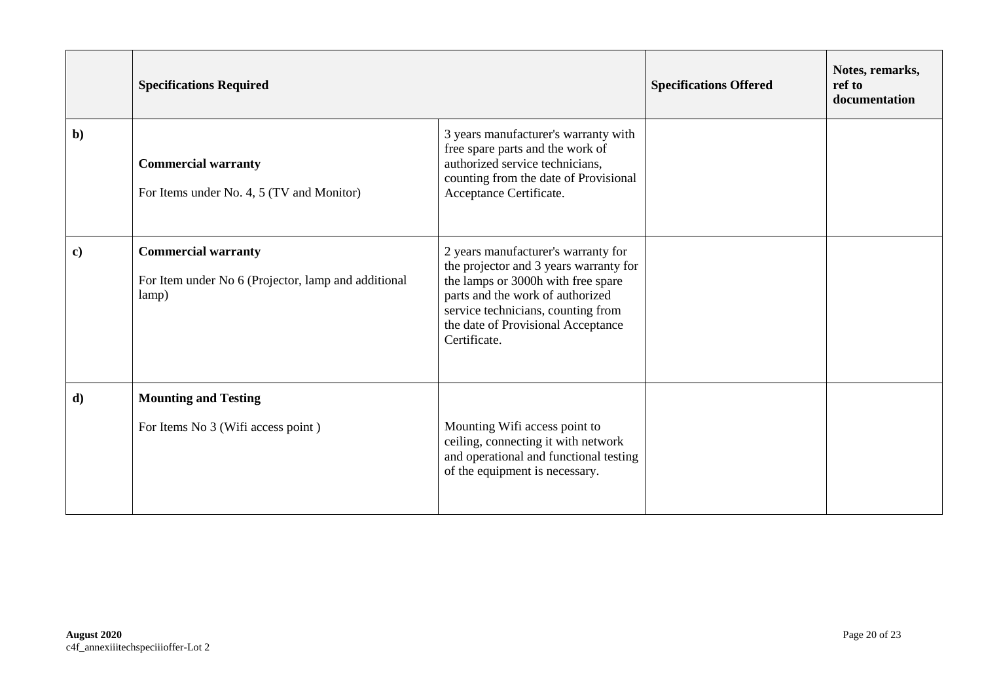|              | <b>Specifications Required</b>                                                             |                                                                                                                                                                                                                                                     | <b>Specifications Offered</b> | Notes, remarks,<br>ref to<br>documentation |
|--------------|--------------------------------------------------------------------------------------------|-----------------------------------------------------------------------------------------------------------------------------------------------------------------------------------------------------------------------------------------------------|-------------------------------|--------------------------------------------|
| $b$          | <b>Commercial warranty</b><br>For Items under No. 4, 5 (TV and Monitor)                    | 3 years manufacturer's warranty with<br>free spare parts and the work of<br>authorized service technicians,<br>counting from the date of Provisional<br>Acceptance Certificate.                                                                     |                               |                                            |
| $\mathbf{c}$ | <b>Commercial warranty</b><br>For Item under No 6 (Projector, lamp and additional<br>lamp) | 2 years manufacturer's warranty for<br>the projector and 3 years warranty for<br>the lamps or 3000h with free spare<br>parts and the work of authorized<br>service technicians, counting from<br>the date of Provisional Acceptance<br>Certificate. |                               |                                            |
| $\mathbf{d}$ | <b>Mounting and Testing</b><br>For Items No 3 (Wifi access point)                          | Mounting Wifi access point to<br>ceiling, connecting it with network<br>and operational and functional testing<br>of the equipment is necessary.                                                                                                    |                               |                                            |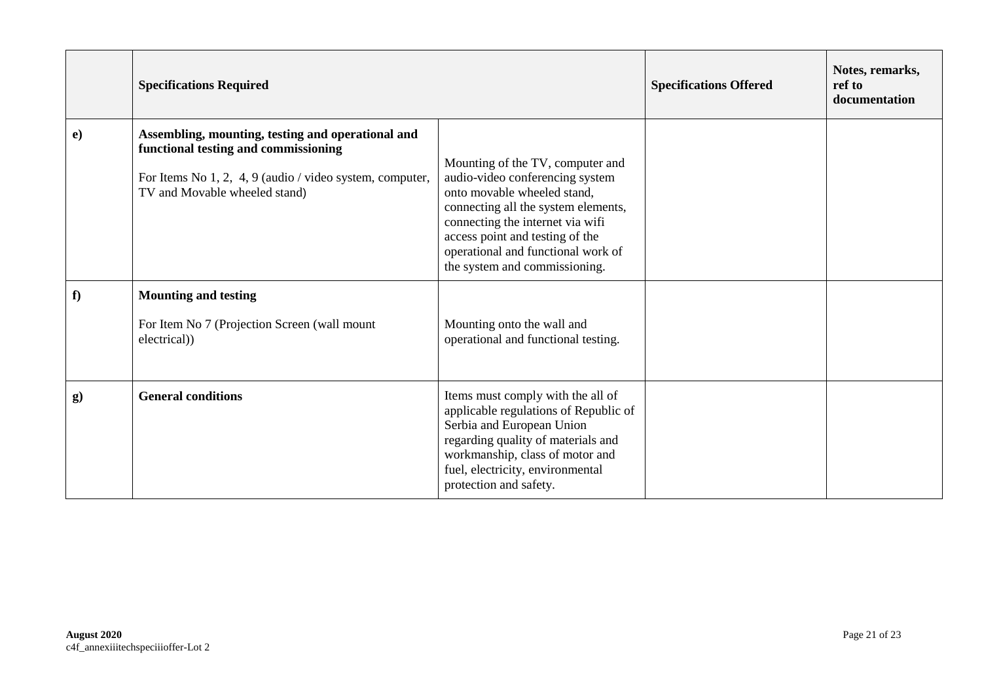|           | <b>Specifications Required</b>                                                                                                                                                         |                                                                                                                                                                                                                                                                                         | <b>Specifications Offered</b> | Notes, remarks,<br>ref to<br>documentation |
|-----------|----------------------------------------------------------------------------------------------------------------------------------------------------------------------------------------|-----------------------------------------------------------------------------------------------------------------------------------------------------------------------------------------------------------------------------------------------------------------------------------------|-------------------------------|--------------------------------------------|
| $\bf e)$  | Assembling, mounting, testing and operational and<br>functional testing and commissioning<br>For Items No 1, 2, 4, 9 (audio / video system, computer,<br>TV and Movable wheeled stand) | Mounting of the TV, computer and<br>audio-video conferencing system<br>onto movable wheeled stand,<br>connecting all the system elements,<br>connecting the internet via wifi<br>access point and testing of the<br>operational and functional work of<br>the system and commissioning. |                               |                                            |
| f)        | <b>Mounting and testing</b><br>For Item No 7 (Projection Screen (wall mount<br>electrical)                                                                                             | Mounting onto the wall and<br>operational and functional testing.                                                                                                                                                                                                                       |                               |                                            |
| $\bf{g})$ | <b>General conditions</b>                                                                                                                                                              | Items must comply with the all of<br>applicable regulations of Republic of<br>Serbia and European Union<br>regarding quality of materials and<br>workmanship, class of motor and<br>fuel, electricity, environmental<br>protection and safety.                                          |                               |                                            |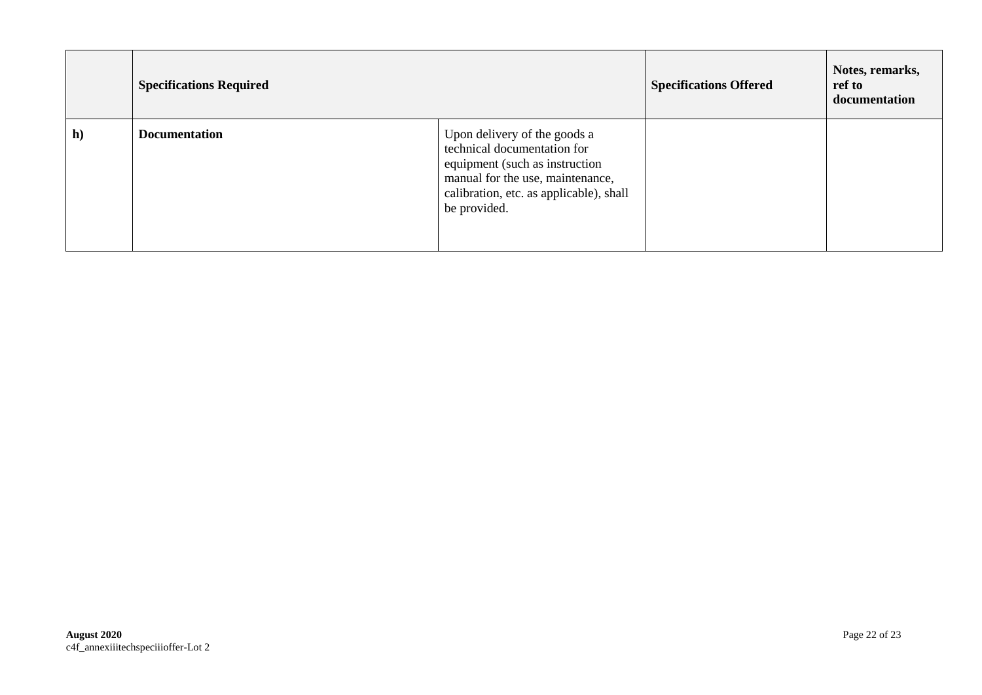|    | <b>Specifications Required</b> |                                                                                                                                                                                              | <b>Specifications Offered</b> | Notes, remarks,<br>ref to<br>documentation |
|----|--------------------------------|----------------------------------------------------------------------------------------------------------------------------------------------------------------------------------------------|-------------------------------|--------------------------------------------|
| h) | <b>Documentation</b>           | Upon delivery of the goods a<br>technical documentation for<br>equipment (such as instruction<br>manual for the use, maintenance,<br>calibration, etc. as applicable), shall<br>be provided. |                               |                                            |